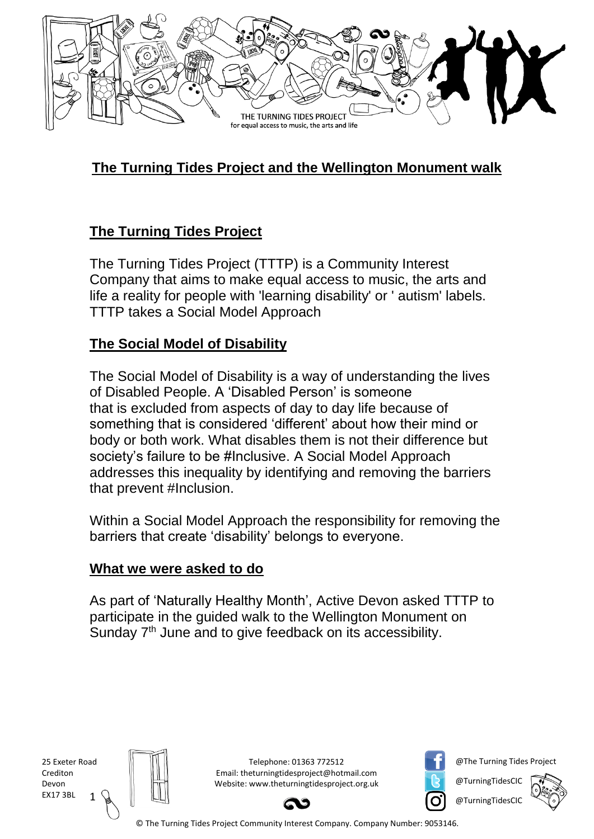

# **The Turning Tides Project and the Wellington Monument walk**

### **The Turning Tides Project**

The Turning Tides Project (TTTP) is a Community Interest Company that aims to make equal access to music, the arts and life a reality for people with 'learning disability' or ' autism' labels. TTTP takes a Social Model Approach

#### **The Social Model of Disability**

The Social Model of Disability is a way of understanding the lives of Disabled People. A 'Disabled Person' is someone that is excluded from aspects of day to day life because of something that is considered 'different' about how their mind or body or both work. What disables them is not their difference but society's failure to be #Inclusive. A Social Model Approach addresses this inequality by identifying and removing the barriers that prevent #Inclusion.

Within a Social Model Approach the responsibility for removing the barriers that create 'disability' belongs to everyone.

#### **What we were asked to do**

As part of 'Naturally Healthy Month', Active Devon asked TTTP to participate in the guided walk to the Wellington Monument on Sunday 7<sup>th</sup> June and to give feedback on its accessibility.

1 25 Exeter Road Crediton Devon EX17 3BL



Telephone: 01363 772512 Email: theturningtidesproject@hotmail.com Website: www.theturningtidesproject.org.uk



@The Turning Tides Project

@TurningTidesCIC

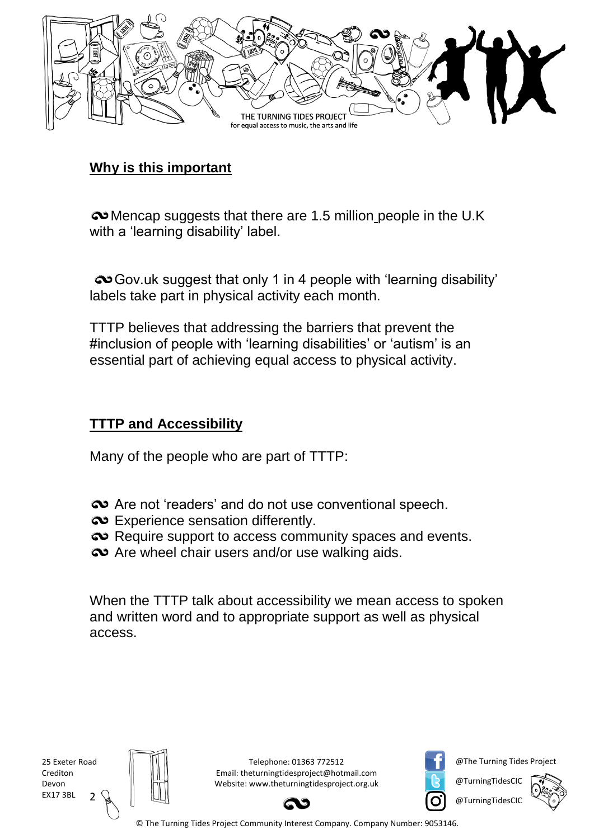

#### **Why is this important**

Mencap suggests that there are 1.5 million people in the U.K with a 'learning disability' label.

Gov.uk suggest that only 1 in 4 people with 'learning disability' labels take part in physical activity each month.

TTTP believes that addressing the barriers that prevent the #inclusion of people with 'learning disabilities' or 'autism' is an essential part of achieving equal access to physical activity.

#### **TTTP and Accessibility**

Many of the people who are part of TTTP:

- $\infty$  Are not 'readers' and do not use conventional speech.
- $\bullet$  Experience sensation differently.
- Require support to access community spaces and events.
- $\infty$  Are wheel chair users and/or use walking aids.

When the TTTP talk about accessibility we mean access to spoken and written word and to appropriate support as well as physical access.

2 25 Exeter Road Crediton Devon EX17 3BL



Telephone: 01363 772512 Email: theturningtidesproject@hotmail.com Website: www.theturningtidesproject.org.uk



@The Turning Tides Project

@TurningTidesCIC

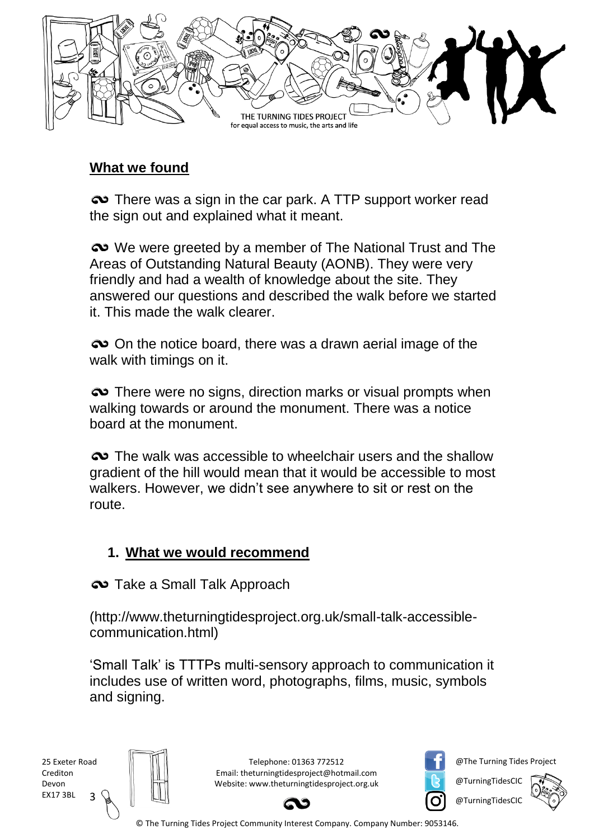

#### **What we found**

There was a sign in the car park. A TTP support worker read the sign out and explained what it meant.

We were greeted by a member of The National Trust and The Areas of Outstanding Natural Beauty (AONB). They were very friendly and had a wealth of knowledge about the site. They answered our questions and described the walk before we started it. This made the walk clearer.

 $\infty$  On the notice board, there was a drawn aerial image of the walk with timings on it.

 $\infty$  There were no signs, direction marks or visual prompts when walking towards or around the monument. There was a notice board at the monument.

 $\infty$  The walk was accessible to wheelchair users and the shallow gradient of the hill would mean that it would be accessible to most walkers. However, we didn't see anywhere to sit or rest on the route.

# **1. What we would recommend**

 $\infty$  Take a Small Talk Approach

(http://www.theturningtidesproject.org.uk/small-talk-accessiblecommunication.html)

'Small Talk' is TTTPs multi-sensory approach to communication it includes use of written word, photographs, films, music, symbols and signing.



Telephone: 01363 772512 Email: theturningtidesproject@hotmail.com Website: www.theturningtidesproject.org.uk



@The Turning Tides Project

@TurningTidesCIC

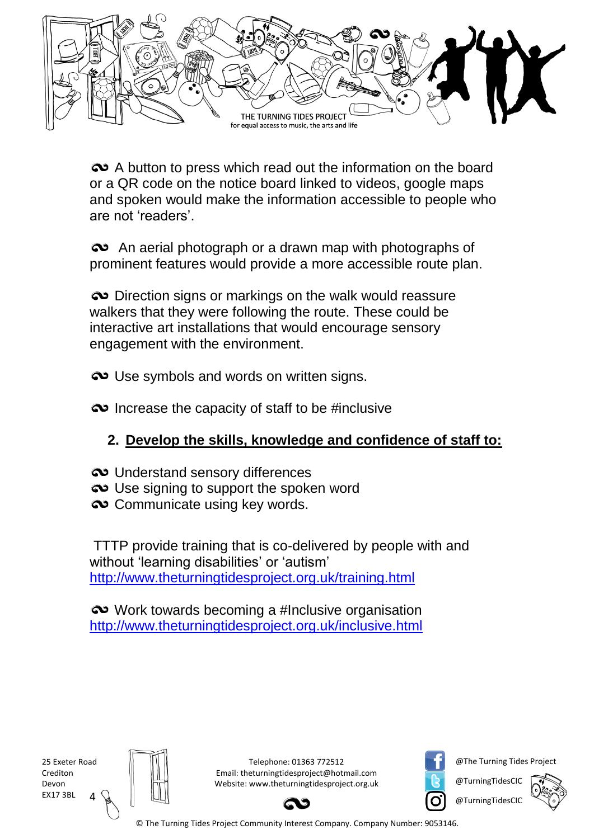

 $\infty$  A button to press which read out the information on the board or a QR code on the notice board linked to videos, google maps and spoken would make the information accessible to people who are not 'readers'.

 $\infty$  An aerial photograph or a drawn map with photographs of prominent features would provide a more accessible route plan.

 $\infty$  Direction signs or markings on the walk would reassure walkers that they were following the route. These could be interactive art installations that would encourage sensory engagement with the environment.

 $\bullet\bullet$  Use symbols and words on written signs.

 $\infty$  Increase the capacity of staff to be #inclusive

# **2. Develop the skills, knowledge and confidence of staff to:**

- $\infty$  Understand sensory differences
- $\infty$  Use signing to support the spoken word
- $\infty$  Communicate using key words.

TTTP provide training that is co-delivered by people with and without 'learning disabilities' or 'autism' <http://www.theturningtidesproject.org.uk/training.html>

work towards becoming a #Inclusive organisation <http://www.theturningtidesproject.org.uk/inclusive.html>

4 25 Exeter Road Crediton Devon EX17 3BL



Telephone: 01363 772512 Email: theturningtidesproject@hotmail.com Website: www.theturningtidesproject.org.uk



@The Turning Tides Project

@TurningTidesCIC

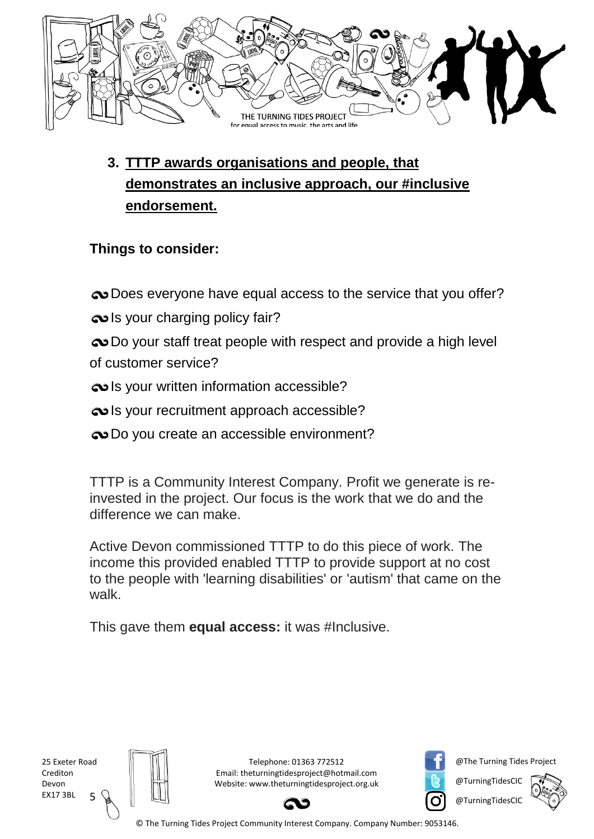

**3. TTTP awards organisations and people, that demonstrates an inclusive approach, our #inclusive endorsement.** 

# **Things to consider:**

 $\bullet$  [Does everyone have equal access to the service that you offer?](http://www.theturningtidesproject.org.uk/small-talk-accessible-communication.html)

- $\infty$  [Is your charging policy fair?](http://www.theturningtidesproject.org.uk/evaluation-services.html)
- $\infty$  Do your staff treat people with respect and provide a high level [of customer service?](http://www.theturningtidesproject.org.uk/training.html)
- **[Is your written information accessible?](http://www.theturningtidesproject.org.uk/small-talk-accessible-communication.html)**
- $\bullet$  [Is your recruitment approach accessible?](http://www.theturningtidesproject.org.uk/employment-services.html)
- $\bullet$  [Do you create an accessible environment?](http://www.theturningtidesproject.org.uk/the-social-model.html)

TTTP is a Community Interest Company. Profit we generate is reinvested in the project. Our focus is the work that we do and the difference we can make.

Active Devon commissioned TTTP to do this piece of work. The income this provided enabled TTTP to provide support at no cost to the people with 'learning disabilities' or 'autism' that came on the walk.

This gave them **equal access:** it was #Inclusive.

5 25 Exeter Road Crediton Devon EX17 3BL



Telephone: 01363 772512 Email: theturningtidesproject@hotmail.com Website: www.theturningtidesproject.org.uk



@The Turning Tides Project

@TurningTidesCIC